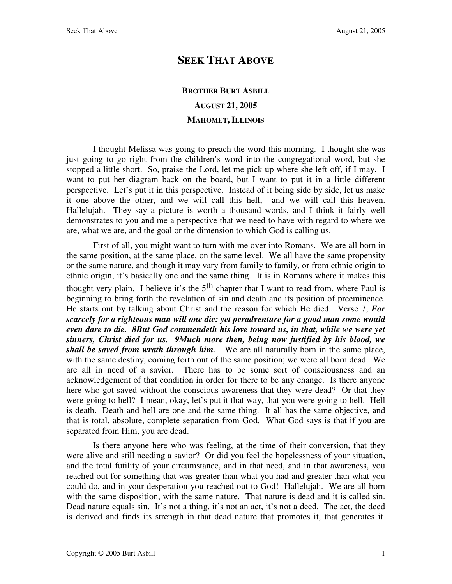## **SEEK THAT ABOVE**

## **BROTHER BURT ASBILL AUGUST 21, 2005 MAHOMET, ILLINOIS**

I thought Melissa was going to preach the word this morning. I thought she was just going to go right from the children's word into the congregational word, but she stopped a little short. So, praise the Lord, let me pick up where she left off, if I may. I want to put her diagram back on the board, but I want to put it in a little different perspective. Let's put it in this perspective. Instead of it being side by side, let us make it one above the other, and we will call this hell, and we will call this heaven. Hallelujah. They say a picture is worth a thousand words, and I think it fairly well demonstrates to you and me a perspective that we need to have with regard to where we are, what we are, and the goal or the dimension to which God is calling us.

First of all, you might want to turn with me over into Romans. We are all born in the same position, at the same place, on the same level. We all have the same propensity or the same nature, and though it may vary from family to family, or from ethnic origin to ethnic origin, it's basically one and the same thing. It is in Romans where it makes this thought very plain. I believe it's the  $5<sup>th</sup>$  chapter that I want to read from, where Paul is beginning to bring forth the revelation of sin and death and its position of preeminence. He starts out by talking about Christ and the reason for which He died. Verse 7, *For scarcely for a righteous man will one die: yet peradventure for a good man some would even dare to die. 8But God commendeth his love toward us, in that, while we were yet sinners, Christ died for us. 9Much more then, being now justified by his blood, we shall be saved from wrath through him.* We are all naturally born in the same place, with the same destiny, coming forth out of the same position; we were all born dead. We are all in need of a savior. There has to be some sort of consciousness and an acknowledgement of that condition in order for there to be any change. Is there anyone here who got saved without the conscious awareness that they were dead? Or that they were going to hell? I mean, okay, let's put it that way, that you were going to hell. Hell is death. Death and hell are one and the same thing. It all has the same objective, and that is total, absolute, complete separation from God. What God says is that if you are separated from Him, you are dead.

Is there anyone here who was feeling, at the time of their conversion, that they were alive and still needing a savior? Or did you feel the hopelessness of your situation, and the total futility of your circumstance, and in that need, and in that awareness, you reached out for something that was greater than what you had and greater than what you could do, and in your desperation you reached out to God! Hallelujah. We are all born with the same disposition, with the same nature. That nature is dead and it is called sin. Dead nature equals sin. It's not a thing, it's not an act, it's not a deed. The act, the deed is derived and finds its strength in that dead nature that promotes it, that generates it.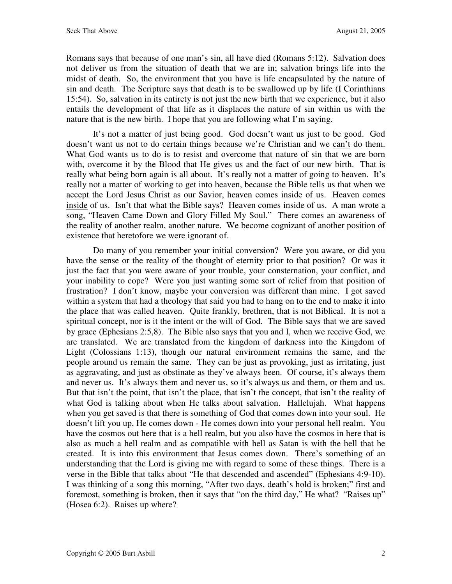Romans says that because of one man's sin, all have died (Romans 5:12). Salvation does not deliver us from the situation of death that we are in; salvation brings life into the midst of death. So, the environment that you have is life encapsulated by the nature of sin and death. The Scripture says that death is to be swallowed up by life (I Corinthians 15:54). So, salvation in its entirety is not just the new birth that we experience, but it also entails the development of that life as it displaces the nature of sin within us with the nature that is the new birth. I hope that you are following what I'm saying.

It's not a matter of just being good. God doesn't want us just to be good. God doesn't want us not to do certain things because we're Christian and we can't do them. What God wants us to do is to resist and overcome that nature of sin that we are born with, overcome it by the Blood that He gives us and the fact of our new birth. That is really what being born again is all about. It's really not a matter of going to heaven. It's really not a matter of working to get into heaven, because the Bible tells us that when we accept the Lord Jesus Christ as our Savior, heaven comes inside of us. Heaven comes inside of us. Isn't that what the Bible says? Heaven comes inside of us. A man wrote a song, "Heaven Came Down and Glory Filled My Soul." There comes an awareness of the reality of another realm, another nature. We become cognizant of another position of existence that heretofore we were ignorant of.

Do many of you remember your initial conversion? Were you aware, or did you have the sense or the reality of the thought of eternity prior to that position? Or was it just the fact that you were aware of your trouble, your consternation, your conflict, and your inability to cope? Were you just wanting some sort of relief from that position of frustration? I don't know, maybe your conversion was different than mine. I got saved within a system that had a theology that said you had to hang on to the end to make it into the place that was called heaven. Quite frankly, brethren, that is not Biblical. It is not a spiritual concept, nor is it the intent or the will of God. The Bible says that we are saved by grace (Ephesians 2:5,8). The Bible also says that you and I, when we receive God, we are translated. We are translated from the kingdom of darkness into the Kingdom of Light (Colossians 1:13), though our natural environment remains the same, and the people around us remain the same. They can be just as provoking, just as irritating, just as aggravating, and just as obstinate as they've always been. Of course, it's always them and never us. It's always them and never us, so it's always us and them, or them and us. But that isn't the point, that isn't the place, that isn't the concept, that isn't the reality of what God is talking about when He talks about salvation. Hallelujah. What happens when you get saved is that there is something of God that comes down into your soul. He doesn't lift you up, He comes down - He comes down into your personal hell realm. You have the cosmos out here that is a hell realm, but you also have the cosmos in here that is also as much a hell realm and as compatible with hell as Satan is with the hell that he created. It is into this environment that Jesus comes down. There's something of an understanding that the Lord is giving me with regard to some of these things. There is a verse in the Bible that talks about "He that descended and ascended" (Ephesians 4:9-10). I was thinking of a song this morning, "After two days, death's hold is broken;" first and foremost, something is broken, then it says that "on the third day," He what? "Raises up" (Hosea 6:2). Raises up where?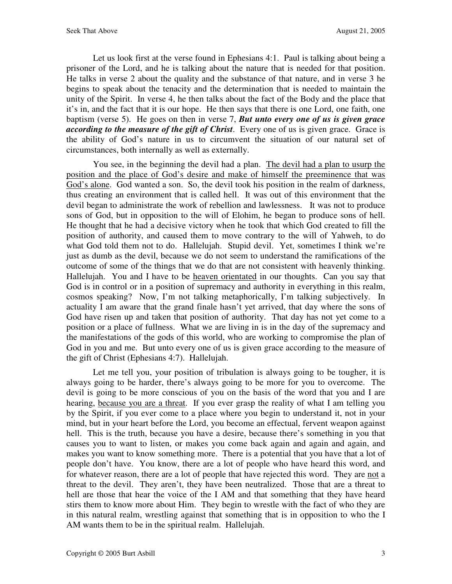Let us look first at the verse found in Ephesians 4:1. Paul is talking about being a prisoner of the Lord, and he is talking about the nature that is needed for that position. He talks in verse 2 about the quality and the substance of that nature, and in verse 3 he begins to speak about the tenacity and the determination that is needed to maintain the unity of the Spirit. In verse 4, he then talks about the fact of the Body and the place that it's in, and the fact that it is our hope. He then says that there is one Lord, one faith, one baptism (verse 5). He goes on then in verse 7, *But unto every one of us is given grace according to the measure of the gift of Christ*. Every one of us is given grace. Grace is the ability of God's nature in us to circumvent the situation of our natural set of circumstances, both internally as well as externally.

You see, in the beginning the devil had a plan. The devil had a plan to usurp the position and the place of God's desire and make of himself the preeminence that was God's alone. God wanted a son. So, the devil took his position in the realm of darkness, thus creating an environment that is called hell. It was out of this environment that the devil began to administrate the work of rebellion and lawlessness. It was not to produce sons of God, but in opposition to the will of Elohim, he began to produce sons of hell. He thought that he had a decisive victory when he took that which God created to fill the position of authority, and caused them to move contrary to the will of Yahweh, to do what God told them not to do. Hallelujah. Stupid devil. Yet, sometimes I think we're just as dumb as the devil, because we do not seem to understand the ramifications of the outcome of some of the things that we do that are not consistent with heavenly thinking. Hallelujah. You and I have to be heaven orientated in our thoughts. Can you say that God is in control or in a position of supremacy and authority in everything in this realm, cosmos speaking? Now, I'm not talking metaphorically, I'm talking subjectively. In actuality I am aware that the grand finale hasn't yet arrived, that day where the sons of God have risen up and taken that position of authority. That day has not yet come to a position or a place of fullness. What we are living in is in the day of the supremacy and the manifestations of the gods of this world, who are working to compromise the plan of God in you and me. But unto every one of us is given grace according to the measure of the gift of Christ (Ephesians 4:7). Hallelujah.

Let me tell you, your position of tribulation is always going to be tougher, it is always going to be harder, there's always going to be more for you to overcome. The devil is going to be more conscious of you on the basis of the word that you and I are hearing, because you are a threat. If you ever grasp the reality of what I am telling you by the Spirit, if you ever come to a place where you begin to understand it, not in your mind, but in your heart before the Lord, you become an effectual, fervent weapon against hell. This is the truth, because you have a desire, because there's something in you that causes you to want to listen, or makes you come back again and again and again, and makes you want to know something more. There is a potential that you have that a lot of people don't have. You know, there are a lot of people who have heard this word, and for whatever reason, there are a lot of people that have rejected this word. They are not a threat to the devil. They aren't, they have been neutralized. Those that are a threat to hell are those that hear the voice of the I AM and that something that they have heard stirs them to know more about Him. They begin to wrestle with the fact of who they are in this natural realm, wrestling against that something that is in opposition to who the I AM wants them to be in the spiritual realm. Hallelujah.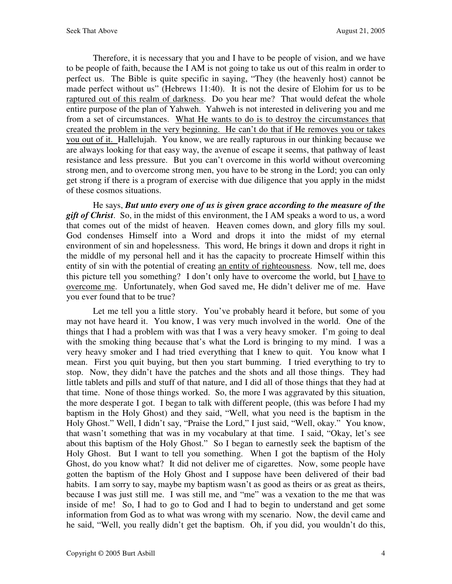Therefore, it is necessary that you and I have to be people of vision, and we have to be people of faith, because the I AM is not going to take us out of this realm in order to perfect us. The Bible is quite specific in saying, "They (the heavenly host) cannot be made perfect without us" (Hebrews 11:40). It is not the desire of Elohim for us to be raptured out of this realm of darkness. Do you hear me? That would defeat the whole entire purpose of the plan of Yahweh. Yahweh is not interested in delivering you and me from a set of circumstances. What He wants to do is to destroy the circumstances that created the problem in the very beginning. He can't do that if He removes you or takes you out of it. Hallelujah. You know, we are really rapturous in our thinking because we are always looking for that easy way, the avenue of escape it seems, that pathway of least resistance and less pressure. But you can't overcome in this world without overcoming strong men, and to overcome strong men, you have to be strong in the Lord; you can only get strong if there is a program of exercise with due diligence that you apply in the midst of these cosmos situations.

He says, *But unto every one of us is given grace according to the measure of the gift of Christ*. So, in the midst of this environment, the I AM speaks a word to us, a word that comes out of the midst of heaven. Heaven comes down, and glory fills my soul. God condenses Himself into a Word and drops it into the midst of my eternal environment of sin and hopelessness. This word, He brings it down and drops it right in the middle of my personal hell and it has the capacity to procreate Himself within this entity of sin with the potential of creating an entity of righteousness. Now, tell me, does this picture tell you something? I don't only have to overcome the world, but I have to overcome me. Unfortunately, when God saved me, He didn't deliver me of me. Have you ever found that to be true?

Let me tell you a little story. You've probably heard it before, but some of you may not have heard it. You know, I was very much involved in the world. One of the things that I had a problem with was that I was a very heavy smoker. I'm going to deal with the smoking thing because that's what the Lord is bringing to my mind. I was a very heavy smoker and I had tried everything that I knew to quit. You know what I mean. First you quit buying, but then you start bumming. I tried everything to try to stop. Now, they didn't have the patches and the shots and all those things. They had little tablets and pills and stuff of that nature, and I did all of those things that they had at that time. None of those things worked. So, the more I was aggravated by this situation, the more desperate I got. I began to talk with different people, (this was before I had my baptism in the Holy Ghost) and they said, "Well, what you need is the baptism in the Holy Ghost." Well, I didn't say, "Praise the Lord," I just said, "Well, okay." You know, that wasn't something that was in my vocabulary at that time. I said, "Okay, let's see about this baptism of the Holy Ghost." So I began to earnestly seek the baptism of the Holy Ghost. But I want to tell you something. When I got the baptism of the Holy Ghost, do you know what? It did not deliver me of cigarettes. Now, some people have gotten the baptism of the Holy Ghost and I suppose have been delivered of their bad habits. I am sorry to say, maybe my baptism wasn't as good as theirs or as great as theirs, because I was just still me. I was still me, and "me" was a vexation to the me that was inside of me! So, I had to go to God and I had to begin to understand and get some information from God as to what was wrong with my scenario. Now, the devil came and he said, "Well, you really didn't get the baptism. Oh, if you did, you wouldn't do this,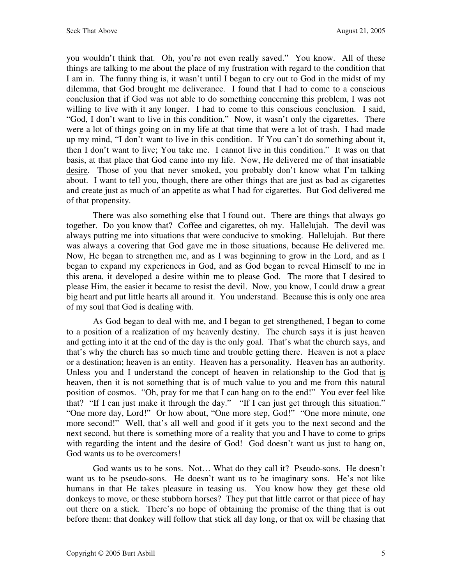you wouldn't think that. Oh, you're not even really saved." You know. All of these things are talking to me about the place of my frustration with regard to the condition that I am in. The funny thing is, it wasn't until I began to cry out to God in the midst of my dilemma, that God brought me deliverance. I found that I had to come to a conscious conclusion that if God was not able to do something concerning this problem, I was not willing to live with it any longer. I had to come to this conscious conclusion. I said, "God, I don't want to live in this condition." Now, it wasn't only the cigarettes. There were a lot of things going on in my life at that time that were a lot of trash. I had made up my mind, "I don't want to live in this condition. If You can't do something about it, then I don't want to live; You take me. I cannot live in this condition." It was on that basis, at that place that God came into my life. Now, He delivered me of that insatiable desire. Those of you that never smoked, you probably don't know what I'm talking about. I want to tell you, though, there are other things that are just as bad as cigarettes and create just as much of an appetite as what I had for cigarettes. But God delivered me of that propensity.

There was also something else that I found out. There are things that always go together. Do you know that? Coffee and cigarettes, oh my. Hallelujah. The devil was always putting me into situations that were conducive to smoking. Hallelujah. But there was always a covering that God gave me in those situations, because He delivered me. Now, He began to strengthen me, and as I was beginning to grow in the Lord, and as I began to expand my experiences in God, and as God began to reveal Himself to me in this arena, it developed a desire within me to please God. The more that I desired to please Him, the easier it became to resist the devil. Now, you know, I could draw a great big heart and put little hearts all around it. You understand. Because this is only one area of my soul that God is dealing with.

As God began to deal with me, and I began to get strengthened, I began to come to a position of a realization of my heavenly destiny. The church says it is just heaven and getting into it at the end of the day is the only goal. That's what the church says, and that's why the church has so much time and trouble getting there. Heaven is not a place or a destination; heaven is an entity. Heaven has a personality. Heaven has an authority. Unless you and I understand the concept of heaven in relationship to the God that is heaven, then it is not something that is of much value to you and me from this natural position of cosmos. "Oh, pray for me that I can hang on to the end!" You ever feel like that? "If I can just make it through the day." "If I can just get through this situation." "One more day, Lord!" Or how about, "One more step, God!" "One more minute, one more second!" Well, that's all well and good if it gets you to the next second and the next second, but there is something more of a reality that you and I have to come to grips with regarding the intent and the desire of God! God doesn't want us just to hang on, God wants us to be overcomers!

God wants us to be sons. Not… What do they call it? Pseudo-sons. He doesn't want us to be pseudo-sons. He doesn't want us to be imaginary sons. He's not like humans in that He takes pleasure in teasing us. You know how they get these old donkeys to move, or these stubborn horses? They put that little carrot or that piece of hay out there on a stick. There's no hope of obtaining the promise of the thing that is out before them: that donkey will follow that stick all day long, or that ox will be chasing that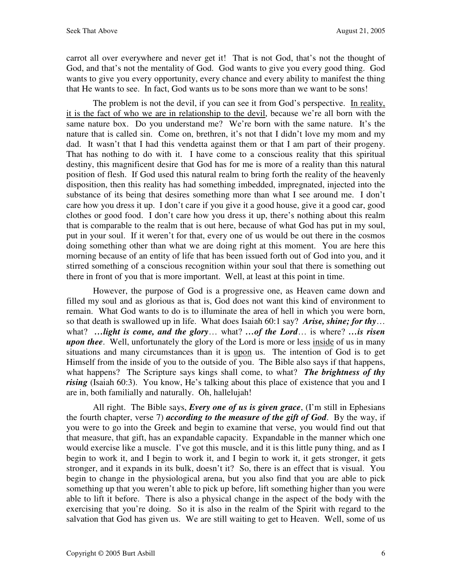carrot all over everywhere and never get it! That is not God, that's not the thought of God, and that's not the mentality of God. God wants to give you every good thing. God wants to give you every opportunity, every chance and every ability to manifest the thing that He wants to see. In fact, God wants us to be sons more than we want to be sons!

The problem is not the devil, if you can see it from God's perspective. In reality, it is the fact of who we are in relationship to the devil, because we're all born with the same nature box. Do you understand me? We're born with the same nature. It's the nature that is called sin. Come on, brethren, it's not that I didn't love my mom and my dad. It wasn't that I had this vendetta against them or that I am part of their progeny. That has nothing to do with it. I have come to a conscious reality that this spiritual destiny, this magnificent desire that God has for me is more of a reality than this natural position of flesh. If God used this natural realm to bring forth the reality of the heavenly disposition, then this reality has had something imbedded, impregnated, injected into the substance of its being that desires something more than what I see around me. I don't care how you dress it up. I don't care if you give it a good house, give it a good car, good clothes or good food. I don't care how you dress it up, there's nothing about this realm that is comparable to the realm that is out here, because of what God has put in my soul, put in your soul. If it weren't for that, every one of us would be out there in the cosmos doing something other than what we are doing right at this moment. You are here this morning because of an entity of life that has been issued forth out of God into you, and it stirred something of a conscious recognition within your soul that there is something out there in front of you that is more important. Well, at least at this point in time.

However, the purpose of God is a progressive one, as Heaven came down and filled my soul and as glorious as that is, God does not want this kind of environment to remain. What God wants to do is to illuminate the area of hell in which you were born, so that death is swallowed up in life. What does Isaiah 60:1 say? *Arise, shine; for thy*… what? *…light is come, and the glory*… what? *…of the Lord*… is where? *…is risen upon thee*. Well, unfortunately the glory of the Lord is more or less inside of us in many situations and many circumstances than it is upon us. The intention of God is to get Himself from the inside of you to the outside of you. The Bible also says if that happens, what happens? The Scripture says kings shall come, to what? *The brightness of thy rising* (Isaiah 60:3). You know, He's talking about this place of existence that you and I are in, both familially and naturally. Oh, hallelujah!

All right. The Bible says, *Every one of us is given grace*, (I'm still in Ephesians the fourth chapter, verse 7) *according to the measure of the gift of God*. By the way, if you were to go into the Greek and begin to examine that verse, you would find out that that measure, that gift, has an expandable capacity. Expandable in the manner which one would exercise like a muscle. I've got this muscle, and it is this little puny thing, and as I begin to work it, and I begin to work it, and I begin to work it, it gets stronger, it gets stronger, and it expands in its bulk, doesn't it? So, there is an effect that is visual. You begin to change in the physiological arena, but you also find that you are able to pick something up that you weren't able to pick up before, lift something higher than you were able to lift it before. There is also a physical change in the aspect of the body with the exercising that you're doing. So it is also in the realm of the Spirit with regard to the salvation that God has given us. We are still waiting to get to Heaven. Well, some of us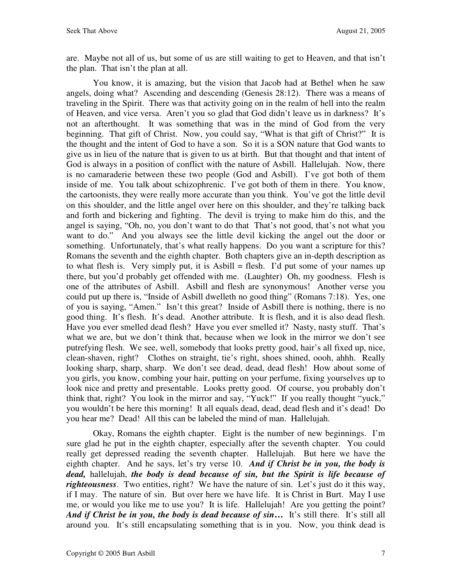are. Maybe not all of us, but some of us are still waiting to get to Heaven, and that isn't the plan. That isn't the plan at all.

You know, it is amazing, but the vision that Jacob had at Bethel when he saw angels, doing what? Ascending and descending (Genesis 28:12). There was a means of traveling in the Spirit. There was that activity going on in the realm of hell into the realm of Heaven, and vice versa. Aren't you so glad that God didn't leave us in darkness? It's not an afterthought. It was something that was in the mind of God from the very beginning. That gift of Christ. Now, you could say, "What is that gift of Christ?" It is the thought and the intent of God to have a son. So it is a SON nature that God wants to give us in lieu of the nature that is given to us at birth. But that thought and that intent of God is always in a position of conflict with the nature of Asbill. Hallelujah. Now, there is no camaraderie between these two people (God and Asbill). I've got both of them inside of me. You talk about schizophrenic. I've got both of them in there. You know, the cartoonists, they were really more accurate than you think. You've got the little devil on this shoulder, and the little angel over here on this shoulder, and they're talking back and forth and bickering and fighting. The devil is trying to make him do this, and the angel is saying, "Oh, no, you don't want to do that That's not good, that's not what you want to do." And you always see the little devil kicking the angel out the door or something. Unfortunately, that's what really happens. Do you want a scripture for this? Romans the seventh and the eighth chapter. Both chapters give an in-depth description as to what flesh is. Very simply put, it is Asbill = flesh. I'd put some of your names up there, but you'd probably get offended with me. (Laughter) Oh, my goodness. Flesh is one of the attributes of Asbill. Asbill and flesh are synonymous! Another verse you could put up there is, "Inside of Asbill dwelleth no good thing" (Romans 7:18). Yes, one of you is saying, "Amen." Isn't this great? Inside of Asbill there is nothing, there is no good thing. It's flesh. It's dead. Another attribute. It is flesh, and it is also dead flesh. Have you ever smelled dead flesh? Have you ever smelled it? Nasty, nasty stuff. That's what we are, but we don't think that, because when we look in the mirror we don't see putrefying flesh. We see, well, somebody that looks pretty good, hair's all fixed up, nice, clean-shaven, right? Clothes on straight, tie's right, shoes shined, oooh, ahhh. Really looking sharp, sharp, sharp. We don't see dead, dead, dead flesh! How about some of you girls, you know, combing your hair, putting on your perfume, fixing yourselves up to look nice and pretty and presentable. Looks pretty good. Of course, you probably don't think that, right? You look in the mirror and say, "Yuck!" If you really thought "yuck," you wouldn't be here this morning! It all equals dead, dead, dead flesh and it's dead! Do you hear me? Dead! All this can be labeled the mind of man. Hallelujah.

Okay, Romans the eighth chapter. Eight is the number of new beginnings. I'm sure glad he put in the eighth chapter, especially after the seventh chapter. You could really get depressed reading the seventh chapter. Hallelujah. But here we have the eighth chapter. And he says, let's try verse 10. *And if Christ be in you, the body is dead,* hallelujah, *the body is dead because of sin, but the Spirit is life because of righteousness*. Two entities, right? We have the nature of sin. Let's just do it this way, if I may. The nature of sin. But over here we have life. It is Christ in Burt. May I use me, or would you like me to use you? It is life. Hallelujah! Are you getting the point? *And if Christ be in you, the body is dead because of sin...* It's still there. It's still all around you. It's still encapsulating something that is in you. Now, you think dead is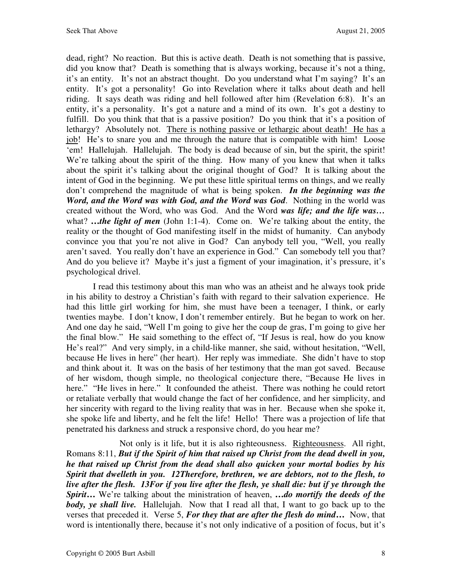dead, right? No reaction. But this is active death. Death is not something that is passive, did you know that? Death is something that is always working, because it's not a thing, it's an entity. It's not an abstract thought. Do you understand what I'm saying? It's an entity. It's got a personality! Go into Revelation where it talks about death and hell riding. It says death was riding and hell followed after him (Revelation 6:8). It's an entity, it's a personality. It's got a nature and a mind of its own. It's got a destiny to fulfill. Do you think that that is a passive position? Do you think that it's a position of lethargy? Absolutely not. There is nothing passive or lethargic about death! He has a job! He's to snare you and me through the nature that is compatible with him! Loose 'em! Hallelujah. Hallelujah. The body is dead because of sin, but the spirit, the spirit! We're talking about the spirit of the thing. How many of you knew that when it talks about the spirit it's talking about the original thought of God? It is talking about the intent of God in the beginning. We put these little spiritual terms on things, and we really don't comprehend the magnitude of what is being spoken. *In the beginning was the Word, and the Word was with God, and the Word was God*. Nothing in the world was created without the Word, who was God. And the Word *was life; and the life was…*  what? ...the light of men (John 1:1-4). Come on. We're talking about the entity, the reality or the thought of God manifesting itself in the midst of humanity. Can anybody convince you that you're not alive in God? Can anybody tell you, "Well, you really aren't saved. You really don't have an experience in God." Can somebody tell you that? And do you believe it? Maybe it's just a figment of your imagination, it's pressure, it's psychological drivel.

I read this testimony about this man who was an atheist and he always took pride in his ability to destroy a Christian's faith with regard to their salvation experience. He had this little girl working for him, she must have been a teenager, I think, or early twenties maybe. I don't know, I don't remember entirely. But he began to work on her. And one day he said, "Well I'm going to give her the coup de gras, I'm going to give her the final blow." He said something to the effect of, "If Jesus is real, how do you know He's real?" And very simply, in a child-like manner, she said, without hesitation, "Well, because He lives in here" (her heart). Her reply was immediate. She didn't have to stop and think about it. It was on the basis of her testimony that the man got saved. Because of her wisdom, though simple, no theological conjecture there, "Because He lives in here." "He lives in here." It confounded the atheist. There was nothing he could retort or retaliate verbally that would change the fact of her confidence, and her simplicity, and her sincerity with regard to the living reality that was in her. Because when she spoke it, she spoke life and liberty, and he felt the life! Hello! There was a projection of life that penetrated his darkness and struck a responsive chord, do you hear me?

 Not only is it life, but it is also righteousness. Righteousness. All right, Romans 8:11, *But if the Spirit of him that raised up Christ from the dead dwell in you, he that raised up Christ from the dead shall also quicken your mortal bodies by his Spirit that dwelleth in you. 12Therefore, brethren, we are debtors, not to the flesh, to live after the flesh. 13For if you live after the flesh, ye shall die: but if ye through the Spirit***…** We're talking about the ministration of heaven, **…***do mortify the deeds of the body, ye shall live.* Hallelujah. Now that I read all that, I want to go back up to the verses that preceded it. Verse 5, *For they that are after the flesh do mind***…** Now, that word is intentionally there, because it's not only indicative of a position of focus, but it's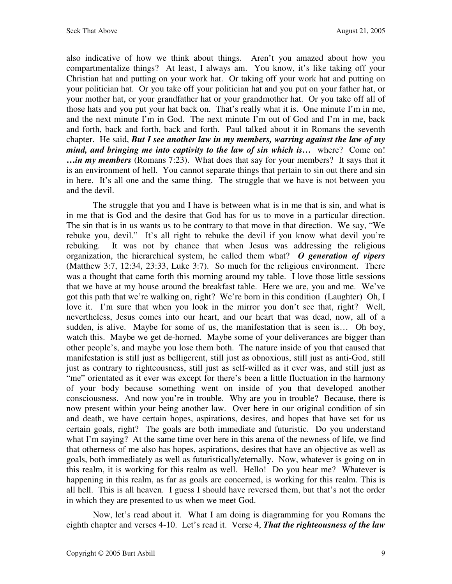also indicative of how we think about things. Aren't you amazed about how you compartmentalize things? At least, I always am. You know, it's like taking off your Christian hat and putting on your work hat. Or taking off your work hat and putting on your politician hat. Or you take off your politician hat and you put on your father hat, or your mother hat, or your grandfather hat or your grandmother hat. Or you take off all of those hats and you put your hat back on. That's really what it is. One minute I'm in me, and the next minute I'm in God. The next minute I'm out of God and I'm in me, back and forth, back and forth, back and forth. Paul talked about it in Romans the seventh chapter. He said, *But I see another law in my members, warring against the law of my mind, and bringing me into captivity to the law of sin which is…* where? Come on! **…***in my members* (Romans 7:23). What does that say for your members? It says that it is an environment of hell. You cannot separate things that pertain to sin out there and sin in here. It's all one and the same thing. The struggle that we have is not between you and the devil.

The struggle that you and I have is between what is in me that is sin, and what is in me that is God and the desire that God has for us to move in a particular direction. The sin that is in us wants us to be contrary to that move in that direction. We say, "We rebuke you, devil." It's all right to rebuke the devil if you know what devil you're rebuking. It was not by chance that when Jesus was addressing the religious organization, the hierarchical system, he called them what? *O generation of vipers* (Matthew 3:7, 12:34, 23:33, Luke 3:7). So much for the religious environment. There was a thought that came forth this morning around my table. I love those little sessions that we have at my house around the breakfast table. Here we are, you and me. We've got this path that we're walking on, right? We're born in this condition (Laughter) Oh, I love it. I'm sure that when you look in the mirror you don't see that, right? Well, nevertheless, Jesus comes into our heart, and our heart that was dead, now, all of a sudden, is alive. Maybe for some of us, the manifestation that is seen is… Oh boy, watch this. Maybe we get de-horned. Maybe some of your deliverances are bigger than other people's, and maybe you lose them both. The nature inside of you that caused that manifestation is still just as belligerent, still just as obnoxious, still just as anti-God, still just as contrary to righteousness, still just as self-willed as it ever was, and still just as "me" orientated as it ever was except for there's been a little fluctuation in the harmony of your body because something went on inside of you that developed another consciousness. And now you're in trouble. Why are you in trouble? Because, there is now present within your being another law. Over here in our original condition of sin and death, we have certain hopes, aspirations, desires, and hopes that have set for us certain goals, right? The goals are both immediate and futuristic. Do you understand what I'm saying? At the same time over here in this arena of the newness of life, we find that otherness of me also has hopes, aspirations, desires that have an objective as well as goals, both immediately as well as futuristically/eternally. Now, whatever is going on in this realm, it is working for this realm as well. Hello! Do you hear me? Whatever is happening in this realm, as far as goals are concerned, is working for this realm. This is all hell. This is all heaven. I guess I should have reversed them, but that's not the order in which they are presented to us when we meet God.

Now, let's read about it. What I am doing is diagramming for you Romans the eighth chapter and verses 4-10. Let's read it. Verse 4, *That the righteousness of the law*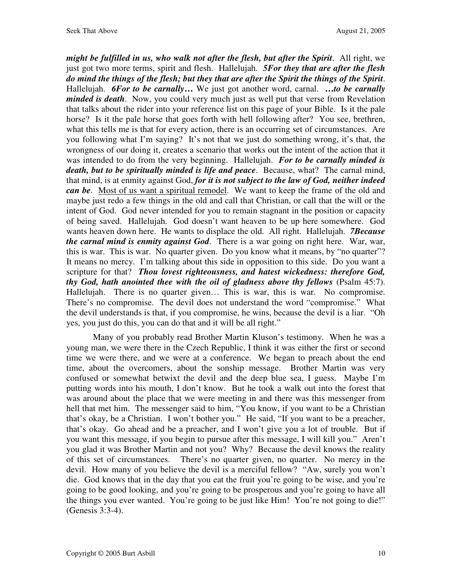*might be fulfilled in us, who walk not after the flesh, but after the Spirit*. All right, we just got two more terms, spirit and flesh. Hallelujah. *5For they that are after the flesh do mind the things of the flesh; but they that are after the Spirit the things of the Spirit*. Hallelujah. *6For to be carnally***…** We just got another word, carnal. **…***to be carnally minded is death*. Now, you could very much just as well put that verse from Revelation that talks about the rider into your reference list on this page of your Bible. Is it the pale horse? Is it the pale horse that goes forth with hell following after? You see, brethren, what this tells me is that for every action, there is an occurring set of circumstances. Are you following what I'm saying? It's not that we just do something wrong, it's that, the wrongness of our doing it, creates a scenario that works out the intent of the action that it was intended to do from the very beginning. Hallelujah. *For to be carnally minded is death, but to be spiritually minded is life and peace*. Because, what? The carnal mind, that mind, is at enmity against God, *for it is not subject to the law of God, neither indeed can be*. Most of us want a spiritual remodel. We want to keep the frame of the old and maybe just redo a few things in the old and call that Christian, or call that the will or the intent of God. God never intended for you to remain stagnant in the position or capacity of being saved. Hallelujah. God doesn't want heaven to be up here somewhere. God wants heaven down here. He wants to displace the old. All right. Hallelujah. *7Because the carnal mind is enmity against God*. There is a war going on right here. War, war, this is war. This is war. No quarter given. Do you know what it means, by "no quarter"? It means no mercy. I'm talking about this side in opposition to this side. Do you want a scripture for that? *Thou lovest righteousness, and hatest wickedness: therefore God, thy God, hath anointed thee with the oil of gladness above thy fellows* (Psalm 45:7). Hallelujah. There is no quarter given… This is war, this is war. No compromise. There's no compromise. The devil does not understand the word "compromise." What the devil understands is that, if you compromise, he wins, because the devil is a liar. "Oh yes, you just do this, you can do that and it will be all right."

Many of you probably read Brother Martin Kluson's testimony. When he was a young man, we were there in the Czech Republic, I think it was either the first or second time we were there, and we were at a conference. We began to preach about the end time, about the overcomers, about the sonship message. Brother Martin was very confused or somewhat betwixt the devil and the deep blue sea, I guess. Maybe I'm putting words into his mouth, I don't know. But he took a walk out into the forest that was around about the place that we were meeting in and there was this messenger from hell that met him. The messenger said to him, "You know, if you want to be a Christian that's okay, be a Christian. I won't bother you." He said, "If you want to be a preacher, that's okay. Go ahead and be a preacher, and I won't give you a lot of trouble. But if you want this message, if you begin to pursue after this message, I will kill you." Aren't you glad it was Brother Martin and not you? Why? Because the devil knows the reality of this set of circumstances. There's no quarter given, no quarter. No mercy in the devil. How many of you believe the devil is a merciful fellow? "Aw, surely you won't die. God knows that in the day that you eat the fruit you're going to be wise, and you're going to be good looking, and you're going to be prosperous and you're going to have all the things you ever wanted. You're going to be just like Him! You're not going to die!" (Genesis 3:3-4).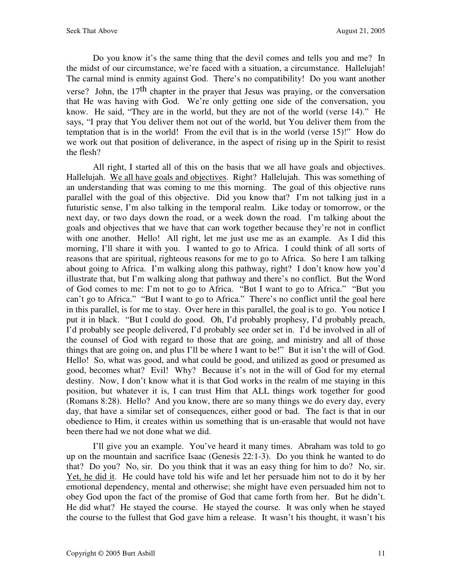Do you know it's the same thing that the devil comes and tells you and me? In the midst of our circumstance, we're faced with a situation, a circumstance. Hallelujah! The carnal mind is enmity against God. There's no compatibility! Do you want another verse? John, the  $17<sup>th</sup>$  chapter in the prayer that Jesus was praying, or the conversation that He was having with God. We're only getting one side of the conversation, you know. He said, "They are in the world, but they are not of the world (verse 14)." He says, "I pray that You deliver them not out of the world, but You deliver them from the temptation that is in the world! From the evil that is in the world (verse 15)!" How do we work out that position of deliverance, in the aspect of rising up in the Spirit to resist the flesh?

All right, I started all of this on the basis that we all have goals and objectives. Hallelujah. We all have goals and objectives. Right? Hallelujah. This was something of an understanding that was coming to me this morning. The goal of this objective runs parallel with the goal of this objective. Did you know that? I'm not talking just in a futuristic sense, I'm also talking in the temporal realm. Like today or tomorrow, or the next day, or two days down the road, or a week down the road. I'm talking about the goals and objectives that we have that can work together because they're not in conflict with one another. Hello! All right, let me just use me as an example. As I did this morning, I'll share it with you. I wanted to go to Africa. I could think of all sorts of reasons that are spiritual, righteous reasons for me to go to Africa. So here I am talking about going to Africa. I'm walking along this pathway, right? I don't know how you'd illustrate that, but I'm walking along that pathway and there's no conflict. But the Word of God comes to me: I'm not to go to Africa. "But I want to go to Africa." "But you can't go to Africa." "But I want to go to Africa." There's no conflict until the goal here in this parallel, is for me to stay. Over here in this parallel, the goal is to go. You notice I put it in black. "But I could do good. Oh, I'd probably prophesy, I'd probably preach, I'd probably see people delivered, I'd probably see order set in. I'd be involved in all of the counsel of God with regard to those that are going, and ministry and all of those things that are going on, and plus I'll be where I want to be!" But it isn't the will of God. Hello! So, what was good, and what could be good, and utilized as good or presumed as good, becomes what? Evil! Why? Because it's not in the will of God for my eternal destiny. Now, I don't know what it is that God works in the realm of me staying in this position, but whatever it is, I can trust Him that ALL things work together for good (Romans 8:28). Hello? And you know, there are so many things we do every day, every day, that have a similar set of consequences, either good or bad. The fact is that in our obedience to Him, it creates within us something that is un-erasable that would not have been there had we not done what we did.

I'll give you an example. You've heard it many times. Abraham was told to go up on the mountain and sacrifice Isaac (Genesis 22:1-3). Do you think he wanted to do that? Do you? No, sir. Do you think that it was an easy thing for him to do? No, sir. Yet, he did it. He could have told his wife and let her persuade him not to do it by her emotional dependency, mental and otherwise; she might have even persuaded him not to obey God upon the fact of the promise of God that came forth from her. But he didn't. He did what? He stayed the course. He stayed the course. It was only when he stayed the course to the fullest that God gave him a release. It wasn't his thought, it wasn't his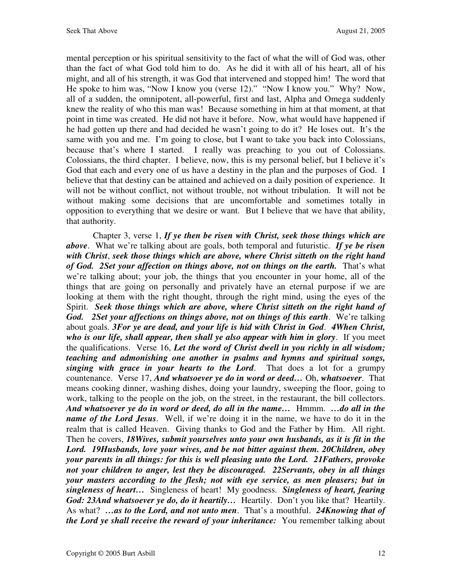mental perception or his spiritual sensitivity to the fact of what the will of God was, other than the fact of what God told him to do. As he did it with all of his heart, all of his might, and all of his strength, it was God that intervened and stopped him! The word that He spoke to him was, "Now I know you (verse 12)." "Now I know you." Why? Now, all of a sudden, the omnipotent, all-powerful, first and last, Alpha and Omega suddenly knew the reality of who this man was! Because something in him at that moment, at that point in time was created. He did not have it before. Now, what would have happened if he had gotten up there and had decided he wasn't going to do it? He loses out. It's the same with you and me. I'm going to close, but I want to take you back into Colossians, because that's where I started. I really was preaching to you out of Colossians. Colossians, the third chapter. I believe, now, this is my personal belief, but I believe it's God that each and every one of us have a destiny in the plan and the purposes of God. I believe that that destiny can be attained and achieved on a daily position of experience. It will not be without conflict, not without trouble, not without tribulation. It will not be without making some decisions that are uncomfortable and sometimes totally in opposition to everything that we desire or want. But I believe that we have that ability, that authority.

Chapter 3, verse 1, *If ye then be risen with Christ, seek those things which are above*. What we're talking about are goals, both temporal and futuristic. *If ye be risen with Christ*, *seek those things which are above, where Christ sitteth on the right hand of God. 2Set your affection on things above, not on things on the earth.* That's what we're talking about; your job, the things that you encounter in your home, all of the things that are going on personally and privately have an eternal purpose if we are looking at them with the right thought, through the right mind, using the eyes of the Spirit. *Seek those things which are above, where Christ sitteth on the right hand of God. 2Set your affections on things above, not on things of this earth*. We're talking about goals. *3For ye are dead, and your life is hid with Christ in God*. *4When Christ, who is our life, shall appear, then shall ye also appear with him in glory*. If you meet the qualifications. Verse 16, *Let the word of Christ dwell in you richly in all wisdom; teaching and admonishing one another in psalms and hymns and spiritual songs, singing with grace in your hearts to the Lord*. That does a lot for a grumpy countenance. Verse 17, *And whatsoever ye do in word or deed…* Oh, *whatsoever*. That means cooking dinner, washing dishes, doing your laundry, sweeping the floor, going to work, talking to the people on the job, on the street, in the restaurant, the bill collectors. *And whatsoever ye do in word or deed, do all in the name…* Hmmm. *…do all in the name of the Lord Jesus*. Well, if we're doing it in the name, we have to do it in the realm that is called Heaven. Giving thanks to God and the Father by Him. All right. Then he covers, *18Wives, submit yourselves unto your own husbands, as it is fit in the Lord. 19Husbands, love your wives, and be not bitter against them. 20Children, obey your parents in all things: for this is well pleasing unto the Lord. 21Fathers, provoke not your children to anger, lest they be discouraged. 22Servants, obey in all things your masters according to the flesh; not with eye service, as men pleasers; but in singleness of heart…* Singleness of heart! My goodness. *Singleness of heart, fearing God: 23And whatsoever ye do, do it heartily…* Heartily. Don't you like that? Heartily. As what? *…as to the Lord, and not unto men*. That's a mouthful. *24Knowing that of the Lord ye shall receive the reward of your inheritance:* You remember talking about